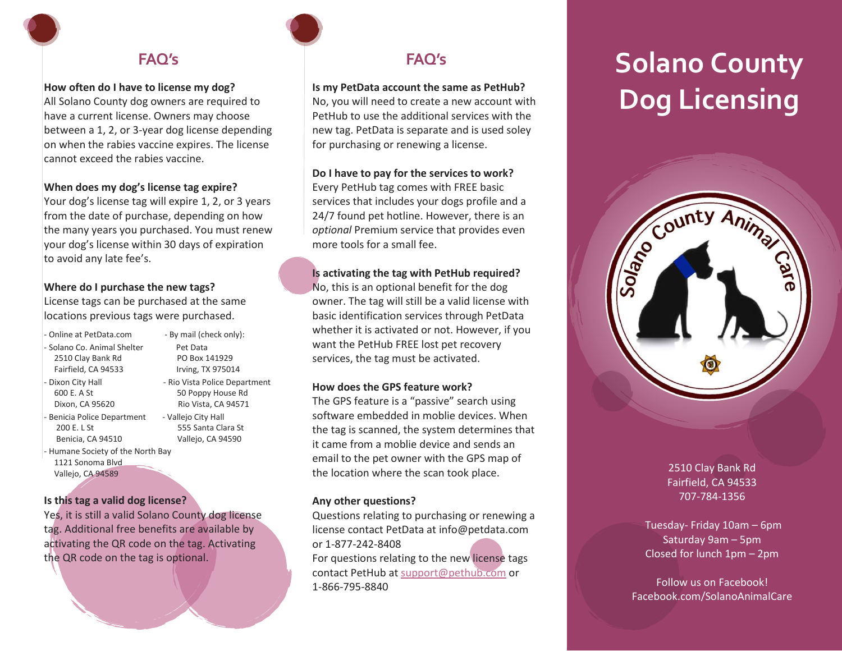# **FAQ's**

#### **How often do I have to license my dog?**

All Solano County dog owners are required to have a current license. Owners may choose between a 1, 2, or 3-year dog license depending on when the rabies vaccine expires. The license cannot exceed the rabies vaccine.

#### **When does my dog's license tag expire?**

Your dog's license tag will expire 1, 2, or 3 years from the date of purchase, depending on how the many years you purchased. You must renew your dog's license within 30 days of expiration to avoid any late fee's.

#### **Where do I purchase the new tags?**

License tags can be purchased at the same locations previous tags were purchased.

- Online at PetData.com By mail (check only):
- Solano Co. Animal Shelter Pet Data 2510 Clay Bank Rd PO Box 141929
- 
- Benicia Police Department Vallejo City Hall Benicia, CA 94510 Vallejo, CA 94590
- Humane Society of the North Bay 1121 Sonoma Blvd Vallejo, CA 94589

#### **Is this tag a valid dog license?**

Yes, it is still a valid Solano County dog license tag. Additional free benefits are available by activating the QR code on the tag. Activating the QR code on the tag is optional.

## **FAQ's**

#### **Is my PetData account the same as PetHub?**

No, you will need to create a new account with PetHub to use the additional services with the new tag. PetData is separate and is used soley for purchasing or renewing a license.

#### **Do I have to pay for the services to work?**

Every PetHub tag comes with FREE basic services that includes your dogs profile and a 24/7 found pet hotline. However, there is an *optional* Premium service that provides even more tools for a small fee.

#### **Is activating the tag with PetHub required?**

No, this is an optional benefit for the dog owner. The tag will still be a valid license with basic identification services through PetData whether it is activated or not. However, if you want the PetHub FREE lost pet recovery services, the tag must be activated.

#### **How does the GPS feature work?**

The GPS feature is a "passive" search using software embedded in moblie devices. When the tag is scanned, the system determines that it came from a moblie device and sends an email to the pet owner with the GPS map of the location where the scan took place.

#### **Any other questions?**

Questions relating to purchasing or renewing a license contact PetData at info@petdata.com or 1-877-242-8408 For questions relating to the new license tags contact PetHub at [support@pethub.com](mailto:support@pethub.com) or 1-866-795-8840

# **Solano County Dog Licensing**



#### 2510 Clay Bank Rd Fairfield, CA 94533 707-784-1356

Tuesday- Friday 10am – 6pm Saturday 9am – 5pm Closed for lunch 1pm – 2pm

Follow us on Facebook! Facebook.com/SolanoAnimalCare

 Fairfield, CA 94533 Irving, TX 975014 Dixon City Hall **Calculate 1 Accord - Rio Vista Police Department** 600 E. A St 50 Poppy House Rd Dixon, CA 95620 Rio Vista, CA 94571 200 E. L St 555 Santa Clara St